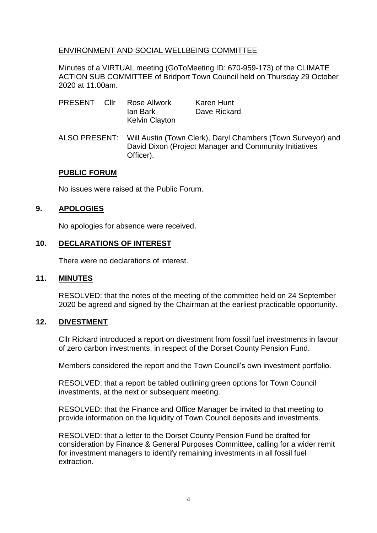## ENVIRONMENT AND SOCIAL WELLBEING COMMITTEE

Minutes of a VIRTUAL meeting (GoToMeeting ID: 670-959-173) of the CLIMATE ACTION SUB COMMITTEE of Bridport Town Council held on Thursday 29 October 2020 at 11.00am.

| PRESENT | – Cllr | Rose Allwork<br>lan Bark<br><b>Kelvin Clayton</b>                                                                                                 | Karen Hunt<br>Dave Rickard |
|---------|--------|---------------------------------------------------------------------------------------------------------------------------------------------------|----------------------------|
|         |        | ALSO PRESENT: Will Austin (Town Clerk), Daryl Chambers (Town Surveyor) and<br>David Dixon (Project Manager and Community Initiatives<br>Officer). |                            |

#### **PUBLIC FORUM**

No issues were raised at the Public Forum.

## **9. APOLOGIES**

No apologies for absence were received.

#### **10. DECLARATIONS OF INTEREST**

There were no declarations of interest.

#### **11. MINUTES**

RESOLVED: that the notes of the meeting of the committee held on 24 September 2020 be agreed and signed by the Chairman at the earliest practicable opportunity.

## **12. DIVESTMENT**

Cllr Rickard introduced a report on divestment from fossil fuel investments in favour of zero carbon investments, in respect of the Dorset County Pension Fund.

Members considered the report and the Town Council's own investment portfolio.

RESOLVED: that a report be tabled outlining green options for Town Council investments, at the next or subsequent meeting.

RESOLVED: that the Finance and Office Manager be invited to that meeting to provide information on the liquidity of Town Council deposits and investments.

RESOLVED: that a letter to the Dorset County Pension Fund be drafted for consideration by Finance & General Purposes Committee, calling for a wider remit for investment managers to identify remaining investments in all fossil fuel extraction.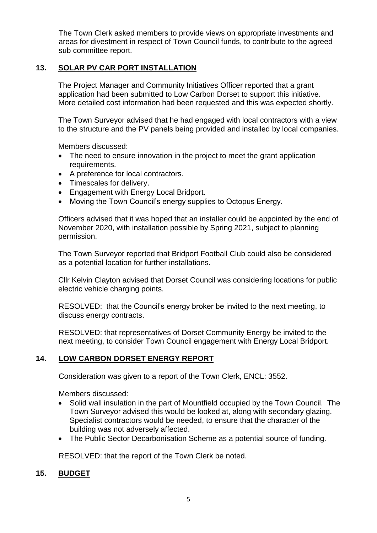The Town Clerk asked members to provide views on appropriate investments and areas for divestment in respect of Town Council funds, to contribute to the agreed sub committee report.

# **13. SOLAR PV CAR PORT INSTALLATION**

The Project Manager and Community Initiatives Officer reported that a grant application had been submitted to Low Carbon Dorset to support this initiative. More detailed cost information had been requested and this was expected shortly.

The Town Surveyor advised that he had engaged with local contractors with a view to the structure and the PV panels being provided and installed by local companies.

Members discussed:

- The need to ensure innovation in the project to meet the grant application requirements.
- A preference for local contractors.
- Timescales for delivery.
- Engagement with Energy Local Bridport.
- Moving the Town Council's energy supplies to Octopus Energy.

Officers advised that it was hoped that an installer could be appointed by the end of November 2020, with installation possible by Spring 2021, subject to planning permission.

The Town Surveyor reported that Bridport Football Club could also be considered as a potential location for further installations.

Cllr Kelvin Clayton advised that Dorset Council was considering locations for public electric vehicle charging points.

RESOLVED: that the Council's energy broker be invited to the next meeting, to discuss energy contracts.

RESOLVED: that representatives of Dorset Community Energy be invited to the next meeting, to consider Town Council engagement with Energy Local Bridport.

# **14. LOW CARBON DORSET ENERGY REPORT**

Consideration was given to a report of the Town Clerk, ENCL: 3552.

Members discussed:

- Solid wall insulation in the part of Mountfield occupied by the Town Council. The Town Surveyor advised this would be looked at, along with secondary glazing. Specialist contractors would be needed, to ensure that the character of the building was not adversely affected.
- The Public Sector Decarbonisation Scheme as a potential source of funding.

RESOLVED: that the report of the Town Clerk be noted.

## **15. BUDGET**